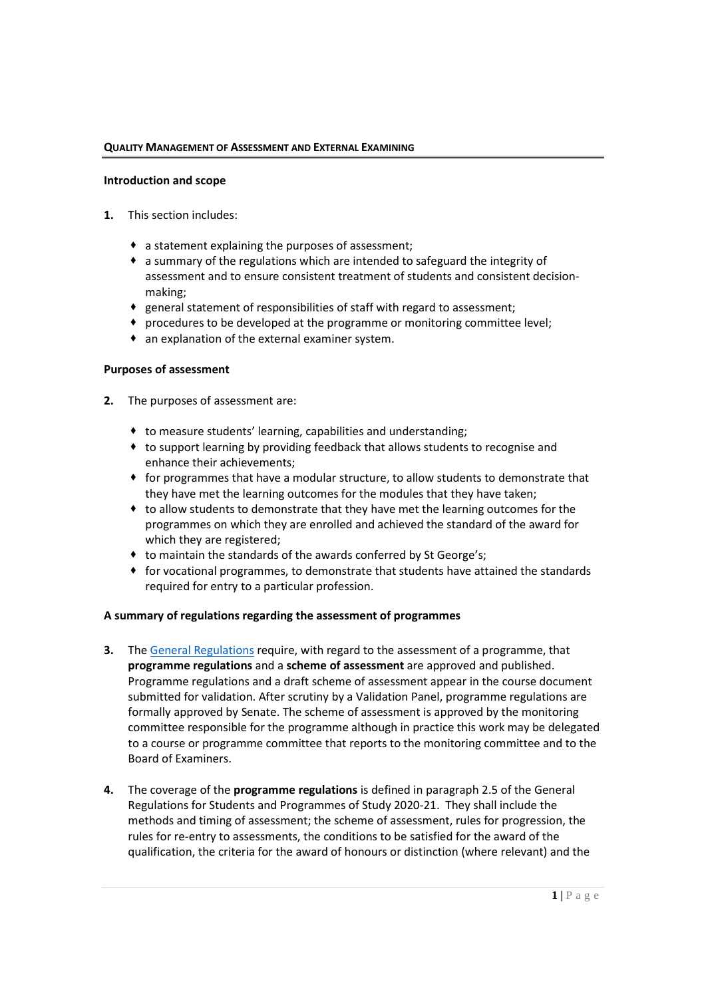#### **QUALITY MANAGEMENT OF ASSESSMENT AND EXTERNAL EXAMINING**

#### **Introduction and scope**

- **1.** This section includes:
	- a statement explaining the purposes of assessment;
	- a summary of the regulations which are intended to safeguard the integrity of assessment and to ensure consistent treatment of students and consistent decisionmaking;
	- general statement of responsibilities of staff with regard to assessment;
	- procedures to be developed at the programme or monitoring committee level;
	- an explanation of the external examiner system.

## **Purposes of assessment**

- **2.** The purposes of assessment are:
	- to measure students' learning, capabilities and understanding;
	- to support learning by providing feedback that allows students to recognise and enhance their achievements;
	- $\bullet$  for programmes that have a modular structure, to allow students to demonstrate that they have met the learning outcomes for the modules that they have taken;
	- to allow students to demonstrate that they have met the learning outcomes for the programmes on which they are enrolled and achieved the standard of the award for which they are registered;
	- $\bullet$  to maintain the standards of the awards conferred by St George's;
	- for vocational programmes, to demonstrate that students have attained the standards required for entry to a particular profession.

## **A summary of regulations regarding the assessment of programmes**

- **3.** The General Regulations require, with regard to the assessment of a programme, that **programme regulations** and a **scheme of assessment** are approved and published. Programme regulations and a draft scheme of assessment appear in the course document submitted for validation. After scrutiny by a Validation Panel, programme regulations are formally approved by Senate. The scheme of assessment is approved by the monitoring committee responsible for the programme although in practice this work may be delegated to a course or programme committee that reports to the monitoring committee and to the Board of Examiners.
- **4.** The coverage of the **programme regulations** is defined in paragraph 2.5 of the General Regulations for Students and Programmes of Study 2020-21. They shall include the methods and timing of assessment; the scheme of assessment, rules for progression, the rules for re-entry to assessments, the conditions to be satisfied for the award of the qualification, the criteria for the award of honours or distinction (where relevant) and the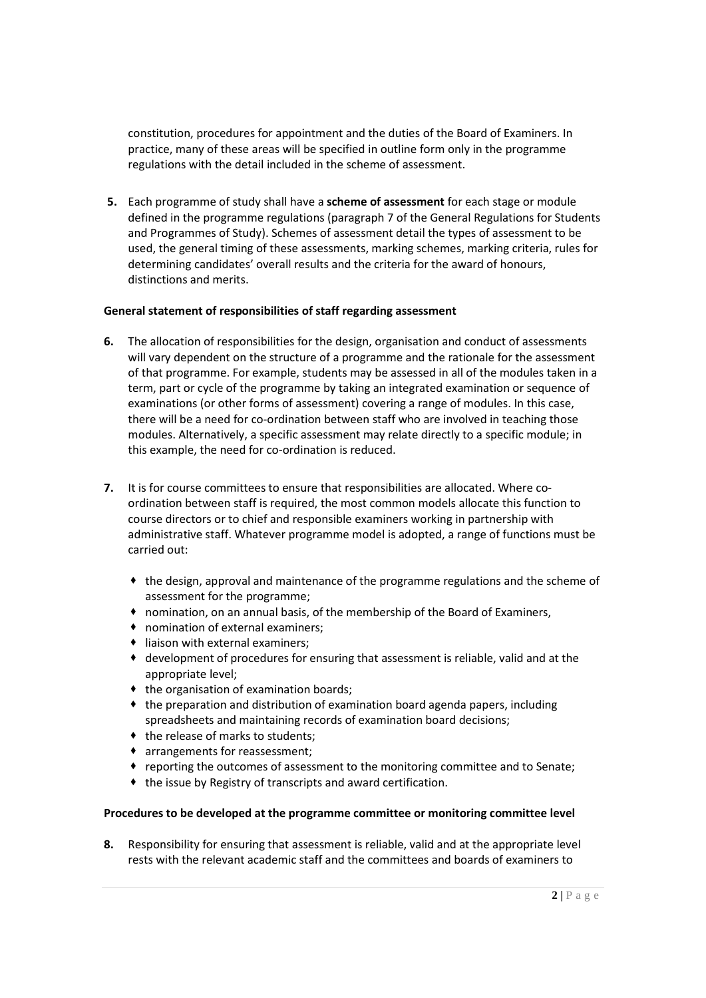constitution, procedures for appointment and the duties of the Board of Examiners. In practice, many of these areas will be specified in outline form only in the programme regulations with the detail included in the scheme of assessment.

**5.** Each programme of study shall have a **scheme of assessment** for each stage or module defined in the programme regulations (paragraph 7 of the General Regulations for Students and Programmes of Study). Schemes of assessment detail the types of assessment to be used, the general timing of these assessments, marking schemes, marking criteria, rules for determining candidates' overall results and the criteria for the award of honours, distinctions and merits.

## **General statement of responsibilities of staff regarding assessment**

- **6.** The allocation of responsibilities for the design, organisation and conduct of assessments will vary dependent on the structure of a programme and the rationale for the assessment of that programme. For example, students may be assessed in all of the modules taken in a term, part or cycle of the programme by taking an integrated examination or sequence of examinations (or other forms of assessment) covering a range of modules. In this case, there will be a need for co-ordination between staff who are involved in teaching those modules. Alternatively, a specific assessment may relate directly to a specific module; in this example, the need for co-ordination is reduced.
- **7.** It is for course committees to ensure that responsibilities are allocated. Where coordination between staff is required, the most common models allocate this function to course directors or to chief and responsible examiners working in partnership with administrative staff. Whatever programme model is adopted, a range of functions must be carried out:
	- the design, approval and maintenance of the programme regulations and the scheme of assessment for the programme;
	- nomination, on an annual basis, of the membership of the Board of Examiners,
	- nomination of external examiners;
	- $\bullet$  liaison with external examiners;
	- development of procedures for ensuring that assessment is reliable, valid and at the appropriate level;
	- $\bullet$  the organisation of examination boards;
	- the preparation and distribution of examination board agenda papers, including spreadsheets and maintaining records of examination board decisions;
	- $\bullet$  the release of marks to students;
	- arrangements for reassessment;
	- reporting the outcomes of assessment to the monitoring committee and to Senate;
	- $\bullet$  the issue by Registry of transcripts and award certification.

# **Procedures to be developed at the programme committee or monitoring committee level**

**8.** Responsibility for ensuring that assessment is reliable, valid and at the appropriate level rests with the relevant academic staff and the committees and boards of examiners to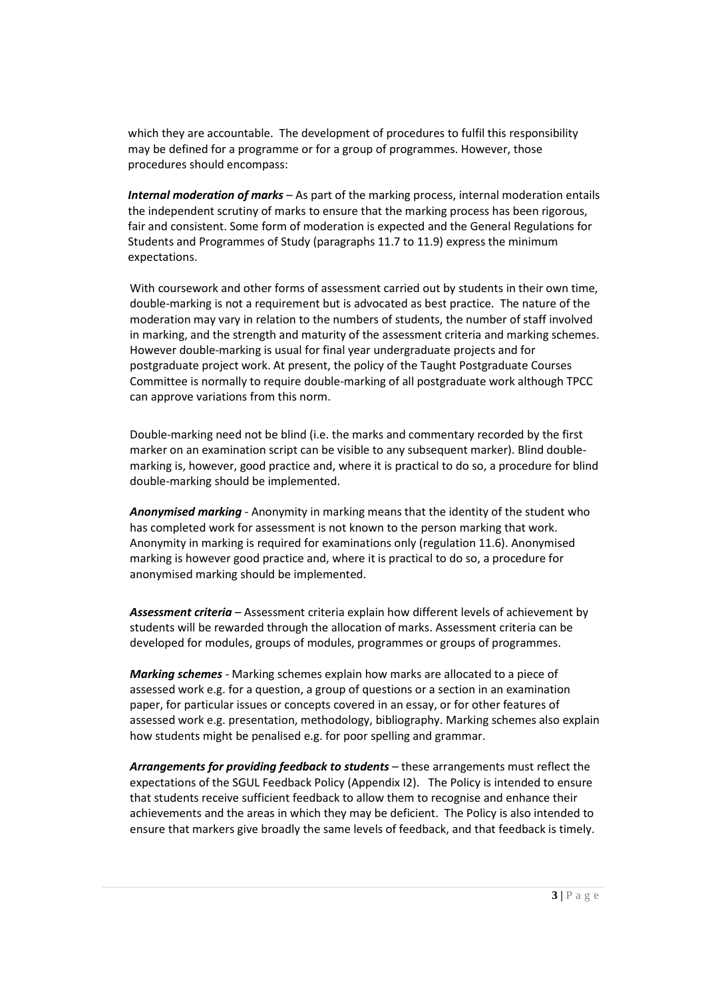which they are accountable. The development of procedures to fulfil this responsibility may be defined for a programme or for a group of programmes. However, those procedures should encompass:

*Internal moderation of marks* – As part of the marking process, internal moderation entails the independent scrutiny of marks to ensure that the marking process has been rigorous, fair and consistent. Some form of moderation is expected and the General Regulations for Students and Programmes of Study (paragraphs 11.7 to 11.9) express the minimum expectations.

With coursework and other forms of assessment carried out by students in their own time, double-marking is not a requirement but is advocated as best practice. The nature of the moderation may vary in relation to the numbers of students, the number of staff involved in marking, and the strength and maturity of the assessment criteria and marking schemes. However double-marking is usual for final year undergraduate projects and for postgraduate project work. At present, the policy of the Taught Postgraduate Courses Committee is normally to require double-marking of all postgraduate work although TPCC can approve variations from this norm.

Double-marking need not be blind (i.e. the marks and commentary recorded by the first marker on an examination script can be visible to any subsequent marker). Blind doublemarking is, however, good practice and, where it is practical to do so, a procedure for blind double-marking should be implemented.

*Anonymised marking* - Anonymity in marking means that the identity of the student who has completed work for assessment is not known to the person marking that work. Anonymity in marking is required for examinations only (regulation 11.6). Anonymised marking is however good practice and, where it is practical to do so, a procedure for anonymised marking should be implemented.

*Assessment criteria* – Assessment criteria explain how different levels of achievement by students will be rewarded through the allocation of marks. Assessment criteria can be developed for modules, groups of modules, programmes or groups of programmes.

*Marking schemes -* Marking schemes explain how marks are allocated to a piece of assessed work e.g. for a question, a group of questions or a section in an examination paper, for particular issues or concepts covered in an essay, or for other features of assessed work e.g. presentation, methodology, bibliography. Marking schemes also explain how students might be penalised e.g. for poor spelling and grammar.

*Arrangements for providing feedback to students* – these arrangements must reflect the expectations of the SGUL Feedback Policy (Appendix I2). The Policy is intended to ensure that students receive sufficient feedback to allow them to recognise and enhance their achievements and the areas in which they may be deficient. The Policy is also intended to ensure that markers give broadly the same levels of feedback, and that feedback is timely.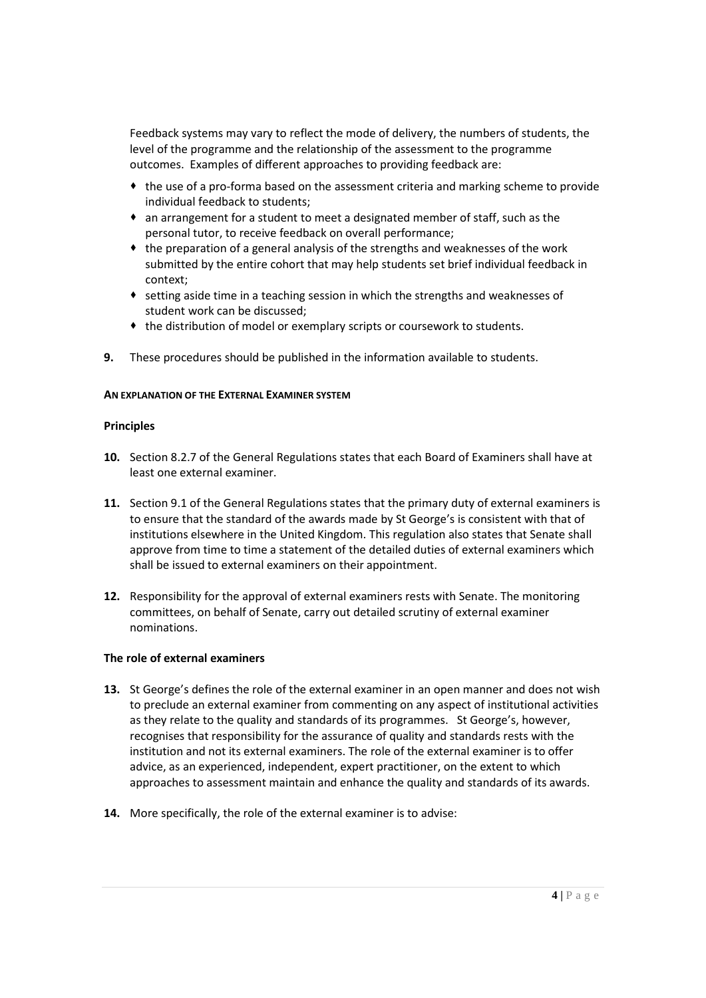Feedback systems may vary to reflect the mode of delivery, the numbers of students, the level of the programme and the relationship of the assessment to the programme outcomes. Examples of different approaches to providing feedback are:

- the use of a pro-forma based on the assessment criteria and marking scheme to provide individual feedback to students;
- an arrangement for a student to meet a designated member of staff, such as the personal tutor, to receive feedback on overall performance;
- $\bullet$  the preparation of a general analysis of the strengths and weaknesses of the work submitted by the entire cohort that may help students set brief individual feedback in context;
- $\bullet$  setting aside time in a teaching session in which the strengths and weaknesses of student work can be discussed;
- the distribution of model or exemplary scripts or coursework to students.
- **9.** These procedures should be published in the information available to students.

## **AN EXPLANATION OF THE EXTERNAL EXAMINER SYSTEM**

#### **Principles**

- **10.** Section 8.2.7 of the General Regulations states that each Board of Examiners shall have at least one external examiner.
- **11.** Section 9.1 of the General Regulations states that the primary duty of external examiners is to ensure that the standard of the awards made by St George's is consistent with that of institutions elsewhere in the United Kingdom. This regulation also states that Senate shall approve from time to time a statement of the detailed duties of external examiners which shall be issued to external examiners on their appointment.
- **12.** Responsibility for the approval of external examiners rests with Senate. The monitoring committees, on behalf of Senate, carry out detailed scrutiny of external examiner nominations.

## **The role of external examiners**

- **13.** St George's defines the role of the external examiner in an open manner and does not wish to preclude an external examiner from commenting on any aspect of institutional activities as they relate to the quality and standards of its programmes. St George's, however, recognises that responsibility for the assurance of quality and standards rests with the institution and not its external examiners. The role of the external examiner is to offer advice, as an experienced, independent, expert practitioner, on the extent to which approaches to assessment maintain and enhance the quality and standards of its awards.
- **14.** More specifically, the role of the external examiner is to advise: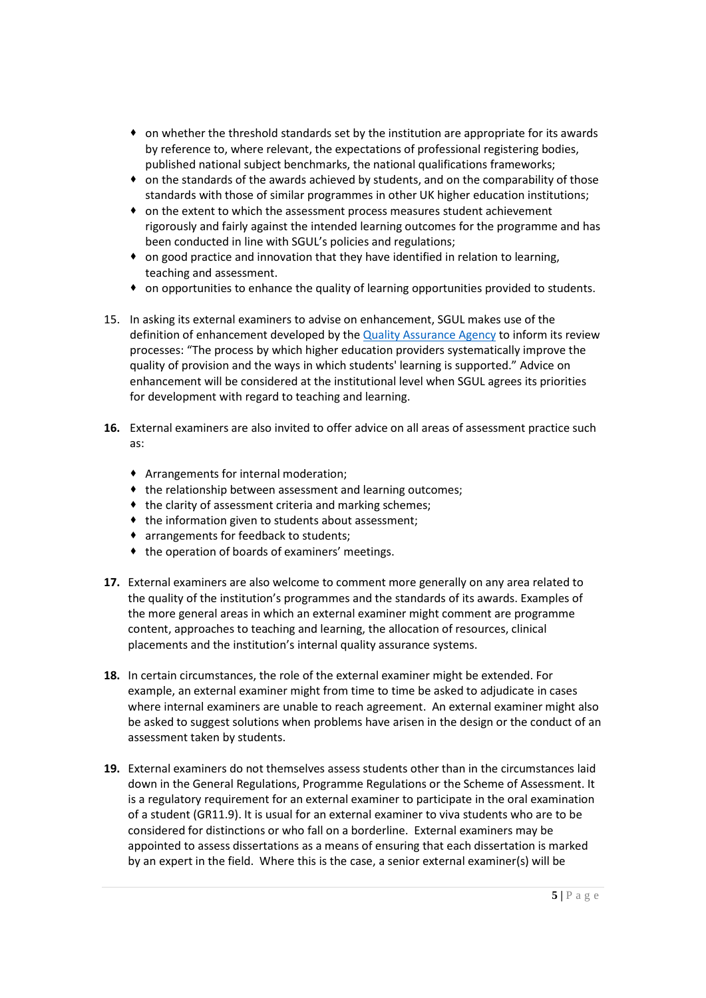- $\bullet$  on whether the threshold standards set by the institution are appropriate for its awards by reference to, where relevant, the expectations of professional registering bodies, published national subject benchmarks, the national qualifications frameworks;
- $\bullet$  on the standards of the awards achieved by students, and on the comparability of those standards with those of similar programmes in other UK higher education institutions;
- on the extent to which the assessment process measures student achievement rigorously and fairly against the intended learning outcomes for the programme and has been conducted in line with SGUL's policies and regulations;
- on good practice and innovation that they have identified in relation to learning, teaching and assessment.
- on opportunities to enhance the quality of learning opportunities provided to students.
- 15. In asking its external examiners to advise on enhancement, SGUL makes use of the definition of enhancement developed by the Quality Assurance Agency to inform its review processes: "The process by which higher education providers systematically improve the quality of provision and the ways in which students' learning is supported." Advice on enhancement will be considered at the institutional level when SGUL agrees its priorities for development with regard to teaching and learning.
- **16.** External examiners are also invited to offer advice on all areas of assessment practice such as:
	- Arrangements for internal moderation;
	- $\bullet$  the relationship between assessment and learning outcomes;
	- the clarity of assessment criteria and marking schemes;
	- $\bullet$  the information given to students about assessment;
	- arrangements for feedback to students;
	- $\bullet$  the operation of boards of examiners' meetings.
- **17.** External examiners are also welcome to comment more generally on any area related to the quality of the institution's programmes and the standards of its awards. Examples of the more general areas in which an external examiner might comment are programme content, approaches to teaching and learning, the allocation of resources, clinical placements and the institution's internal quality assurance systems.
- **18.** In certain circumstances, the role of the external examiner might be extended. For example, an external examiner might from time to time be asked to adjudicate in cases where internal examiners are unable to reach agreement. An external examiner might also be asked to suggest solutions when problems have arisen in the design or the conduct of an assessment taken by students.
- **19.** External examiners do not themselves assess students other than in the circumstances laid down in the General Regulations, Programme Regulations or the Scheme of Assessment. It is a regulatory requirement for an external examiner to participate in the oral examination of a student (GR11.9). It is usual for an external examiner to viva students who are to be considered for distinctions or who fall on a borderline. External examiners may be appointed to assess dissertations as a means of ensuring that each dissertation is marked by an expert in the field. Where this is the case, a senior external examiner(s) will be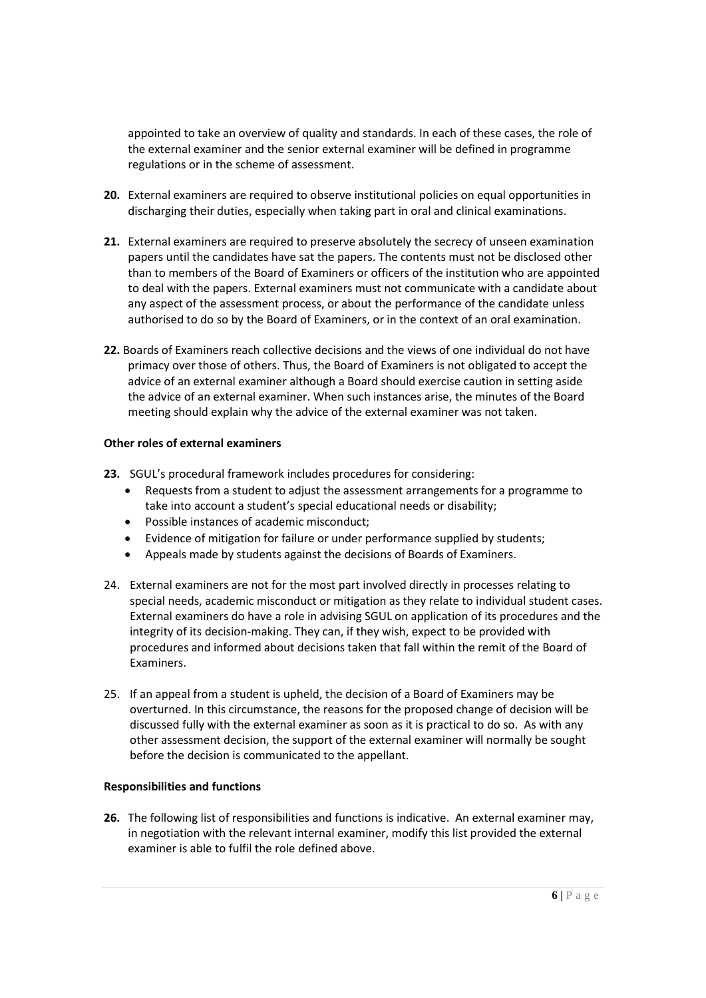appointed to take an overview of quality and standards. In each of these cases, the role of the external examiner and the senior external examiner will be defined in programme regulations or in the scheme of assessment.

- **20.** External examiners are required to observe institutional policies on equal opportunities in discharging their duties, especially when taking part in oral and clinical examinations.
- **21.** External examiners are required to preserve absolutely the secrecy of unseen examination papers until the candidates have sat the papers. The contents must not be disclosed other than to members of the Board of Examiners or officers of the institution who are appointed to deal with the papers. External examiners must not communicate with a candidate about any aspect of the assessment process, or about the performance of the candidate unless authorised to do so by the Board of Examiners, or in the context of an oral examination.
- **22.** Boards of Examiners reach collective decisions and the views of one individual do not have primacy over those of others. Thus, the Board of Examiners is not obligated to accept the advice of an external examiner although a Board should exercise caution in setting aside the advice of an external examiner. When such instances arise, the minutes of the Board meeting should explain why the advice of the external examiner was not taken.

## **Other roles of external examiners**

- **23.** SGUL's procedural framework includes procedures for considering:
	- Requests from a student to adjust the assessment arrangements for a programme to take into account a student's special educational needs or disability;
	- Possible instances of academic misconduct;
	- Evidence of mitigation for failure or under performance supplied by students;
	- Appeals made by students against the decisions of Boards of Examiners.
- 24. External examiners are not for the most part involved directly in processes relating to special needs, academic misconduct or mitigation as they relate to individual student cases. External examiners do have a role in advising SGUL on application of its procedures and the integrity of its decision-making. They can, if they wish, expect to be provided with procedures and informed about decisions taken that fall within the remit of the Board of Examiners.
- 25. If an appeal from a student is upheld, the decision of a Board of Examiners may be overturned. In this circumstance, the reasons for the proposed change of decision will be discussed fully with the external examiner as soon as it is practical to do so. As with any other assessment decision, the support of the external examiner will normally be sought before the decision is communicated to the appellant.

## **Responsibilities and functions**

**26.** The following list of responsibilities and functions is indicative. An external examiner may, in negotiation with the relevant internal examiner, modify this list provided the external examiner is able to fulfil the role defined above.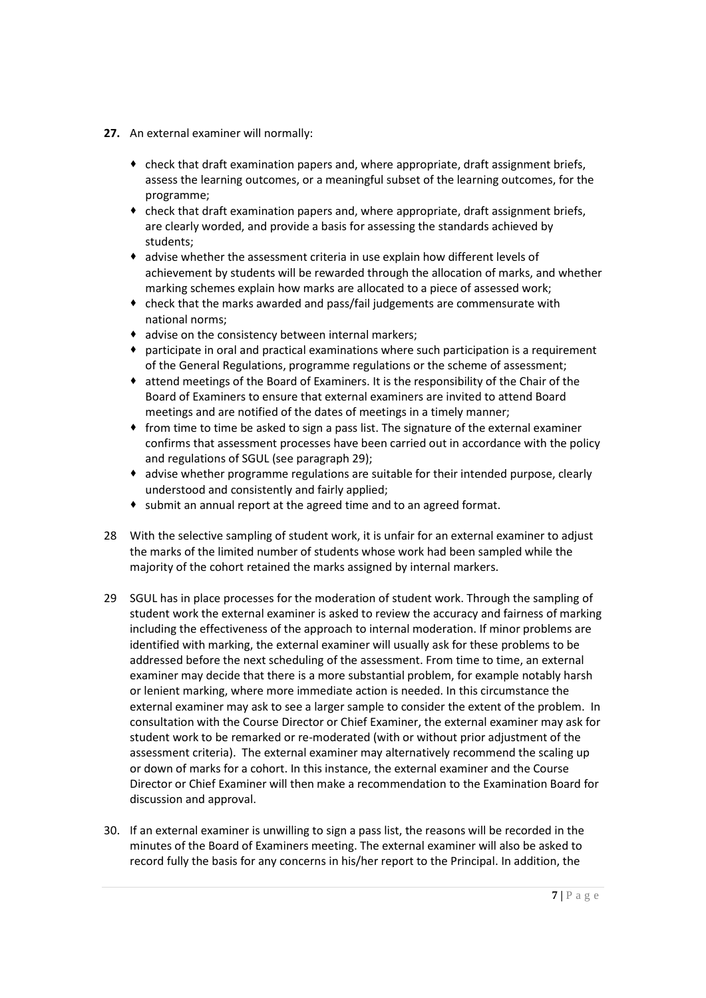- **27.** An external examiner will normally:
	- $\bullet$  check that draft examination papers and, where appropriate, draft assignment briefs, assess the learning outcomes, or a meaningful subset of the learning outcomes, for the programme;
	- check that draft examination papers and, where appropriate, draft assignment briefs, are clearly worded, and provide a basis for assessing the standards achieved by students;
	- advise whether the assessment criteria in use explain how different levels of achievement by students will be rewarded through the allocation of marks, and whether marking schemes explain how marks are allocated to a piece of assessed work;
	- check that the marks awarded and pass/fail judgements are commensurate with national norms;
	- advise on the consistency between internal markers;
	- participate in oral and practical examinations where such participation is a requirement of the General Regulations, programme regulations or the scheme of assessment;
	- attend meetings of the Board of Examiners. It is the responsibility of the Chair of the Board of Examiners to ensure that external examiners are invited to attend Board meetings and are notified of the dates of meetings in a timely manner;
	- from time to time be asked to sign a pass list. The signature of the external examiner confirms that assessment processes have been carried out in accordance with the policy and regulations of SGUL (see paragraph 29);
	- advise whether programme regulations are suitable for their intended purpose, clearly understood and consistently and fairly applied;
	- submit an annual report at the agreed time and to an agreed format.
- 28 With the selective sampling of student work, it is unfair for an external examiner to adjust the marks of the limited number of students whose work had been sampled while the majority of the cohort retained the marks assigned by internal markers.
- 29 SGUL has in place processes for the moderation of student work. Through the sampling of student work the external examiner is asked to review the accuracy and fairness of marking including the effectiveness of the approach to internal moderation. If minor problems are identified with marking, the external examiner will usually ask for these problems to be addressed before the next scheduling of the assessment. From time to time, an external examiner may decide that there is a more substantial problem, for example notably harsh or lenient marking, where more immediate action is needed. In this circumstance the external examiner may ask to see a larger sample to consider the extent of the problem. In consultation with the Course Director or Chief Examiner, the external examiner may ask for student work to be remarked or re-moderated (with or without prior adjustment of the assessment criteria). The external examiner may alternatively recommend the scaling up or down of marks for a cohort. In this instance, the external examiner and the Course Director or Chief Examiner will then make a recommendation to the Examination Board for discussion and approval.
- 30. If an external examiner is unwilling to sign a pass list, the reasons will be recorded in the minutes of the Board of Examiners meeting. The external examiner will also be asked to record fully the basis for any concerns in his/her report to the Principal. In addition, the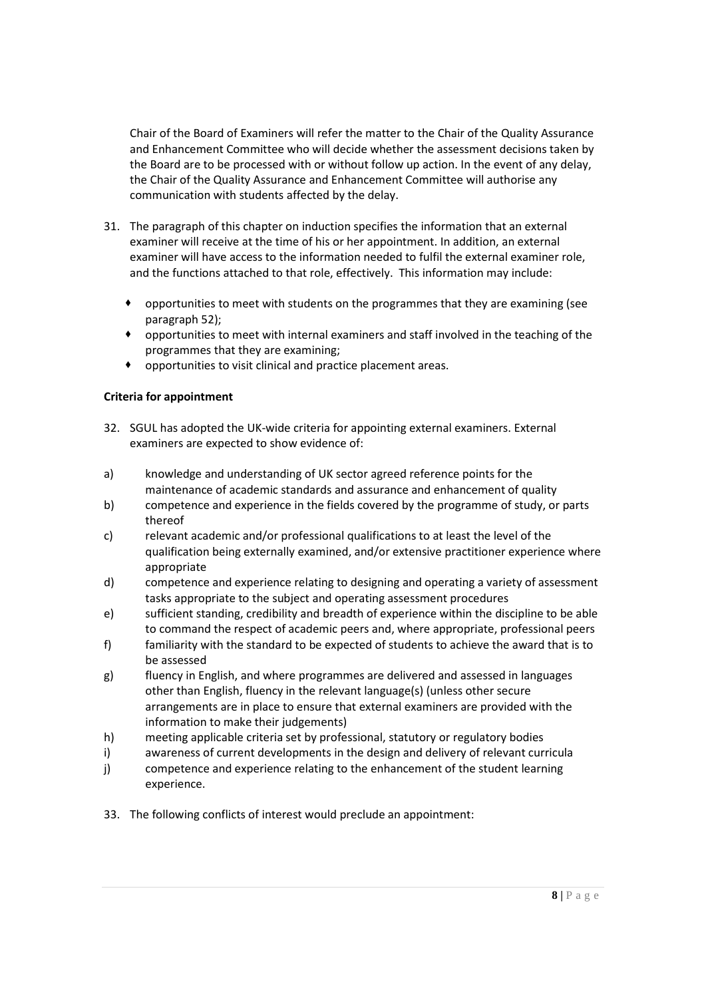Chair of the Board of Examiners will refer the matter to the Chair of the Quality Assurance and Enhancement Committee who will decide whether the assessment decisions taken by the Board are to be processed with or without follow up action. In the event of any delay, the Chair of the Quality Assurance and Enhancement Committee will authorise any communication with students affected by the delay.

- 31. The paragraph of this chapter on induction specifies the information that an external examiner will receive at the time of his or her appointment. In addition, an external examiner will have access to the information needed to fulfil the external examiner role, and the functions attached to that role, effectively. This information may include:
	- opportunities to meet with students on the programmes that they are examining (see paragraph 52);
	- opportunities to meet with internal examiners and staff involved in the teaching of the programmes that they are examining;
	- opportunities to visit clinical and practice placement areas.

## **Criteria for appointment**

- 32. SGUL has adopted the UK-wide criteria for appointing external examiners. External examiners are expected to show evidence of:
- a) knowledge and understanding of UK sector agreed reference points for the maintenance of academic standards and assurance and enhancement of quality
- b) competence and experience in the fields covered by the programme of study, or parts thereof
- c) relevant academic and/or professional qualifications to at least the level of the qualification being externally examined, and/or extensive practitioner experience where appropriate
- d) competence and experience relating to designing and operating a variety of assessment tasks appropriate to the subject and operating assessment procedures
- e) sufficient standing, credibility and breadth of experience within the discipline to be able to command the respect of academic peers and, where appropriate, professional peers
- f) familiarity with the standard to be expected of students to achieve the award that is to be assessed
- g) fluency in English, and where programmes are delivered and assessed in languages other than English, fluency in the relevant language(s) (unless other secure arrangements are in place to ensure that external examiners are provided with the information to make their judgements)
- h) meeting applicable criteria set by professional, statutory or regulatory bodies
- i) awareness of current developments in the design and delivery of relevant curricula
- j) competence and experience relating to the enhancement of the student learning experience.
- 33. The following conflicts of interest would preclude an appointment: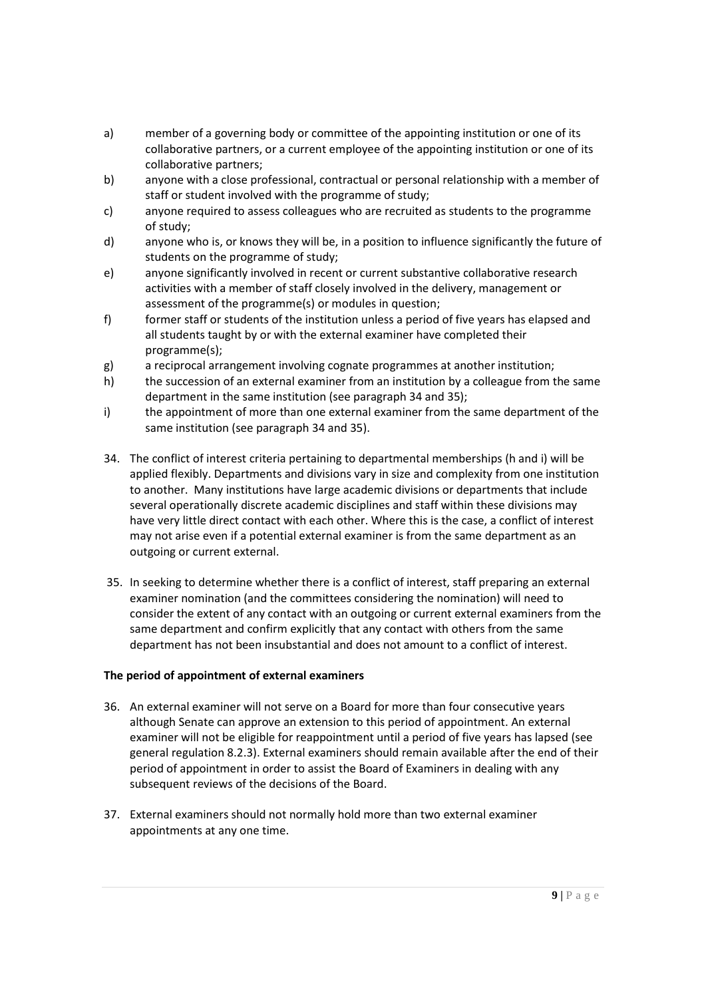- a) member of a governing body or committee of the appointing institution or one of its collaborative partners, or a current employee of the appointing institution or one of its collaborative partners;
- b) anyone with a close professional, contractual or personal relationship with a member of staff or student involved with the programme of study;
- c) anyone required to assess colleagues who are recruited as students to the programme of study;
- d) anyone who is, or knows they will be, in a position to influence significantly the future of students on the programme of study;
- e) anyone significantly involved in recent or current substantive collaborative research activities with a member of staff closely involved in the delivery, management or assessment of the programme(s) or modules in question;
- f) former staff or students of the institution unless a period of five years has elapsed and all students taught by or with the external examiner have completed their programme(s);
- g) a reciprocal arrangement involving cognate programmes at another institution;
- h) the succession of an external examiner from an institution by a colleague from the same department in the same institution (see paragraph 34 and 35);
- i) the appointment of more than one external examiner from the same department of the same institution (see paragraph 34 and 35).
- 34. The conflict of interest criteria pertaining to departmental memberships (h and i) will be applied flexibly. Departments and divisions vary in size and complexity from one institution to another. Many institutions have large academic divisions or departments that include several operationally discrete academic disciplines and staff within these divisions may have very little direct contact with each other. Where this is the case, a conflict of interest may not arise even if a potential external examiner is from the same department as an outgoing or current external.
- 35. In seeking to determine whether there is a conflict of interest, staff preparing an external examiner nomination (and the committees considering the nomination) will need to consider the extent of any contact with an outgoing or current external examiners from the same department and confirm explicitly that any contact with others from the same department has not been insubstantial and does not amount to a conflict of interest.

# **The period of appointment of external examiners**

- 36. An external examiner will not serve on a Board for more than four consecutive years although Senate can approve an extension to this period of appointment. An external examiner will not be eligible for reappointment until a period of five years has lapsed (see general regulation 8.2.3). External examiners should remain available after the end of their period of appointment in order to assist the Board of Examiners in dealing with any subsequent reviews of the decisions of the Board.
- 37. External examiners should not normally hold more than two external examiner appointments at any one time.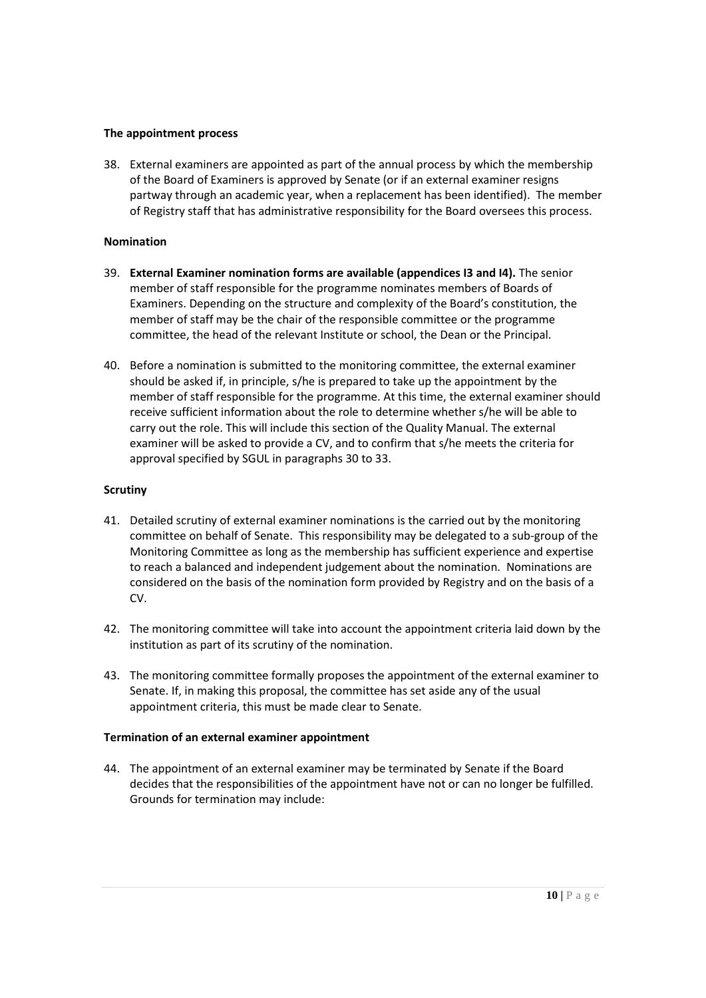#### **The appointment process**

38. External examiners are appointed as part of the annual process by which the membership of the Board of Examiners is approved by Senate (or if an external examiner resigns partway through an academic year, when a replacement has been identified). The member of Registry staff that has administrative responsibility for the Board oversees this process.

#### **Nomination**

- 39. **External Examiner nomination forms are available (appendices I3 and I4).** The senior member of staff responsible for the programme nominates members of Boards of Examiners. Depending on the structure and complexity of the Board's constitution, the member of staff may be the chair of the responsible committee or the programme committee, the head of the relevant Institute or school, the Dean or the Principal.
- 40. Before a nomination is submitted to the monitoring committee, the external examiner should be asked if, in principle, s/he is prepared to take up the appointment by the member of staff responsible for the programme. At this time, the external examiner should receive sufficient information about the role to determine whether s/he will be able to carry out the role. This will include this section of the Quality Manual. The external examiner will be asked to provide a CV, and to confirm that s/he meets the criteria for approval specified by SGUL in paragraphs 30 to 33.

#### **Scrutiny**

- 41. Detailed scrutiny of external examiner nominations is the carried out by the monitoring committee on behalf of Senate. This responsibility may be delegated to a sub-group of the Monitoring Committee as long as the membership has sufficient experience and expertise to reach a balanced and independent judgement about the nomination. Nominations are considered on the basis of the nomination form provided by Registry and on the basis of a CV.
- 42. The monitoring committee will take into account the appointment criteria laid down by the institution as part of its scrutiny of the nomination.
- 43. The monitoring committee formally proposes the appointment of the external examiner to Senate. If, in making this proposal, the committee has set aside any of the usual appointment criteria, this must be made clear to Senate.

## **Termination of an external examiner appointment**

44. The appointment of an external examiner may be terminated by Senate if the Board decides that the responsibilities of the appointment have not or can no longer be fulfilled. Grounds for termination may include: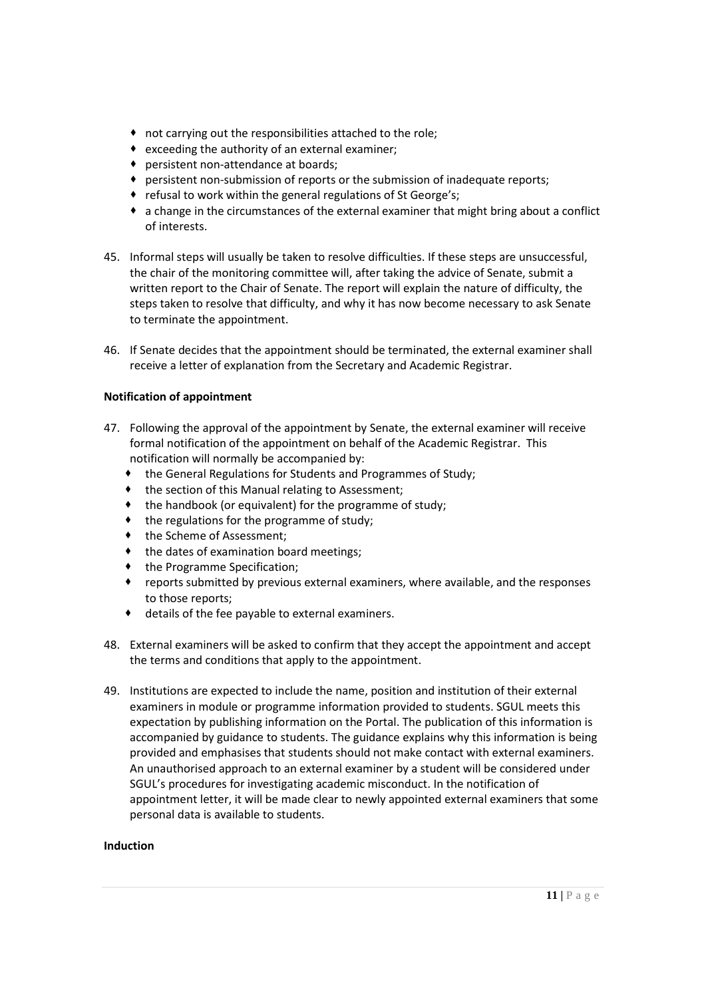- not carrying out the responsibilities attached to the role;
- exceeding the authority of an external examiner;
- persistent non-attendance at boards;
- persistent non-submission of reports or the submission of inadequate reports;
- refusal to work within the general regulations of St George's;
- a change in the circumstances of the external examiner that might bring about a conflict of interests.
- 45. Informal steps will usually be taken to resolve difficulties. If these steps are unsuccessful, the chair of the monitoring committee will, after taking the advice of Senate, submit a written report to the Chair of Senate. The report will explain the nature of difficulty, the steps taken to resolve that difficulty, and why it has now become necessary to ask Senate to terminate the appointment.
- 46. If Senate decides that the appointment should be terminated, the external examiner shall receive a letter of explanation from the Secretary and Academic Registrar.

## **Notification of appointment**

- 47. Following the approval of the appointment by Senate, the external examiner will receive formal notification of the appointment on behalf of the Academic Registrar. This notification will normally be accompanied by:
	- the General Regulations for Students and Programmes of Study;
	- $\bullet$  the section of this Manual relating to Assessment;
	- the handbook (or equivalent) for the programme of study;
	- $\bullet$  the regulations for the programme of study;
	- $\bullet$  the Scheme of Assessment;
	- $\bullet$  the dates of examination board meetings;
	- $\bullet$  the Programme Specification;
	- reports submitted by previous external examiners, where available, and the responses to those reports;
	- details of the fee payable to external examiners.
- 48. External examiners will be asked to confirm that they accept the appointment and accept the terms and conditions that apply to the appointment.
- 49. Institutions are expected to include the name, position and institution of their external examiners in module or programme information provided to students. SGUL meets this expectation by publishing information on the Portal. The publication of this information is accompanied by guidance to students. The guidance explains why this information is being provided and emphasises that students should not make contact with external examiners. An unauthorised approach to an external examiner by a student will be considered under SGUL's procedures for investigating academic misconduct. In the notification of appointment letter, it will be made clear to newly appointed external examiners that some personal data is available to students.

## **Induction**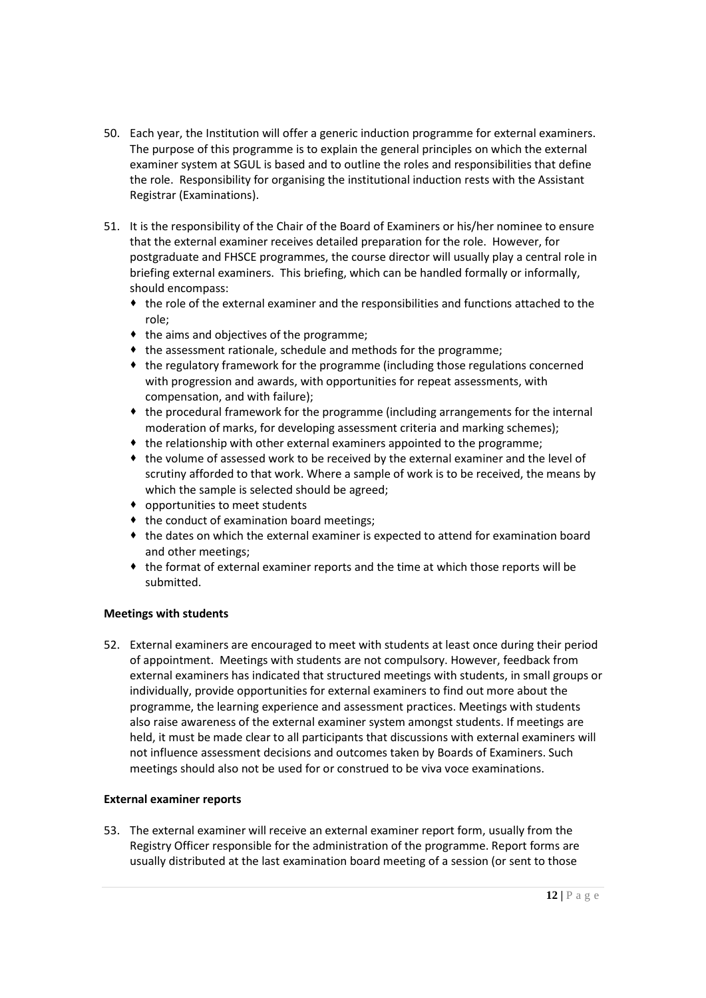- 50. Each year, the Institution will offer a generic induction programme for external examiners. The purpose of this programme is to explain the general principles on which the external examiner system at SGUL is based and to outline the roles and responsibilities that define the role. Responsibility for organising the institutional induction rests with the Assistant Registrar (Examinations).
- 51. It is the responsibility of the Chair of the Board of Examiners or his/her nominee to ensure that the external examiner receives detailed preparation for the role. However, for postgraduate and FHSCE programmes, the course director will usually play a central role in briefing external examiners. This briefing, which can be handled formally or informally, should encompass:
	- the role of the external examiner and the responsibilities and functions attached to the role;
	- $\bullet$  the aims and objectives of the programme:
	- $\bullet$  the assessment rationale, schedule and methods for the programme;
	- the regulatory framework for the programme (including those regulations concerned with progression and awards, with opportunities for repeat assessments, with compensation, and with failure);
	- $\bullet$  the procedural framework for the programme (including arrangements for the internal moderation of marks, for developing assessment criteria and marking schemes);
	- $\bullet$  the relationship with other external examiners appointed to the programme;
	- the volume of assessed work to be received by the external examiner and the level of scrutiny afforded to that work. Where a sample of work is to be received, the means by which the sample is selected should be agreed;
	- opportunities to meet students
	- $\bullet$  the conduct of examination board meetings;
	- the dates on which the external examiner is expected to attend for examination board and other meetings;
	- the format of external examiner reports and the time at which those reports will be submitted.

# **Meetings with students**

52. External examiners are encouraged to meet with students at least once during their period of appointment. Meetings with students are not compulsory. However, feedback from external examiners has indicated that structured meetings with students, in small groups or individually, provide opportunities for external examiners to find out more about the programme, the learning experience and assessment practices. Meetings with students also raise awareness of the external examiner system amongst students. If meetings are held, it must be made clear to all participants that discussions with external examiners will not influence assessment decisions and outcomes taken by Boards of Examiners. Such meetings should also not be used for or construed to be viva voce examinations.

# **External examiner reports**

53. The external examiner will receive an external examiner report form, usually from the Registry Officer responsible for the administration of the programme. Report forms are usually distributed at the last examination board meeting of a session (or sent to those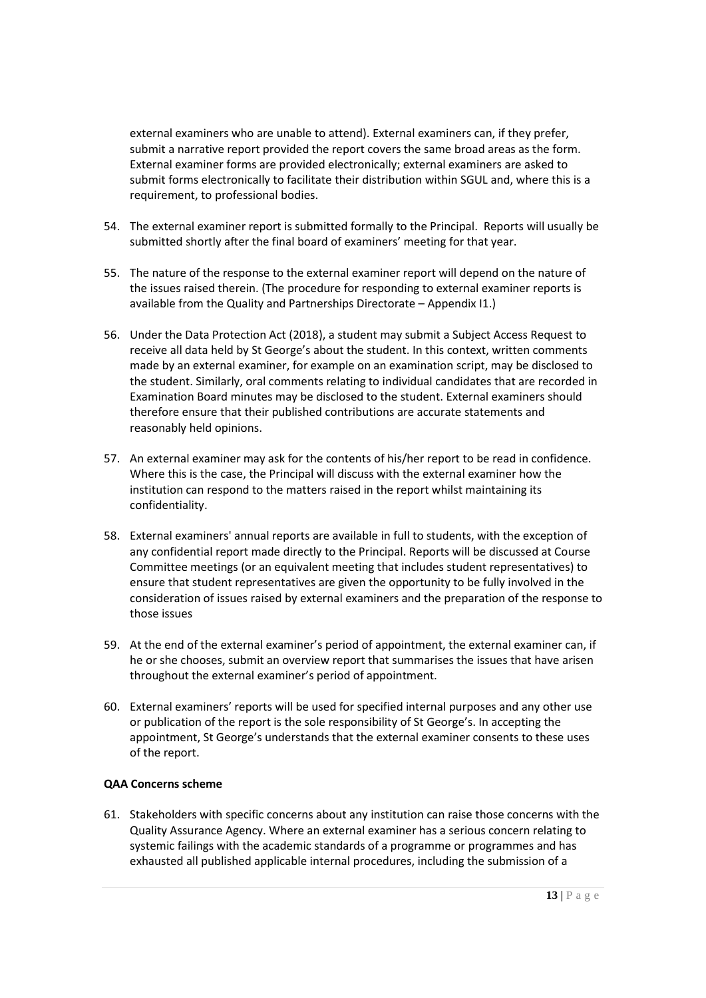external examiners who are unable to attend). External examiners can, if they prefer, submit a narrative report provided the report covers the same broad areas as the form. External examiner forms are provided electronically; external examiners are asked to submit forms electronically to facilitate their distribution within SGUL and, where this is a requirement, to professional bodies.

- 54. The external examiner report is submitted formally to the Principal. Reports will usually be submitted shortly after the final board of examiners' meeting for that year.
- 55. The nature of the response to the external examiner report will depend on the nature of the issues raised therein. (The procedure for responding to external examiner reports is available from the Quality and Partnerships Directorate – Appendix I1.)
- 56. Under the Data Protection Act (2018), a student may submit a Subject Access Request to receive all data held by St George's about the student. In this context, written comments made by an external examiner, for example on an examination script, may be disclosed to the student. Similarly, oral comments relating to individual candidates that are recorded in Examination Board minutes may be disclosed to the student. External examiners should therefore ensure that their published contributions are accurate statements and reasonably held opinions.
- 57. An external examiner may ask for the contents of his/her report to be read in confidence. Where this is the case, the Principal will discuss with the external examiner how the institution can respond to the matters raised in the report whilst maintaining its confidentiality.
- 58. External examiners' annual reports are available in full to students, with the exception of any confidential report made directly to the Principal. Reports will be discussed at Course Committee meetings (or an equivalent meeting that includes student representatives) to ensure that student representatives are given the opportunity to be fully involved in the consideration of issues raised by external examiners and the preparation of the response to those issues
- 59. At the end of the external examiner's period of appointment, the external examiner can, if he or she chooses, submit an overview report that summarises the issues that have arisen throughout the external examiner's period of appointment.
- 60. External examiners' reports will be used for specified internal purposes and any other use or publication of the report is the sole responsibility of St George's. In accepting the appointment, St George's understands that the external examiner consents to these uses of the report.

# **QAA Concerns scheme**

61. Stakeholders with specific concerns about any institution can raise those concerns with the Quality Assurance Agency. Where an external examiner has a serious concern relating to systemic failings with the academic standards of a programme or programmes and has exhausted all published applicable internal procedures, including the submission of a